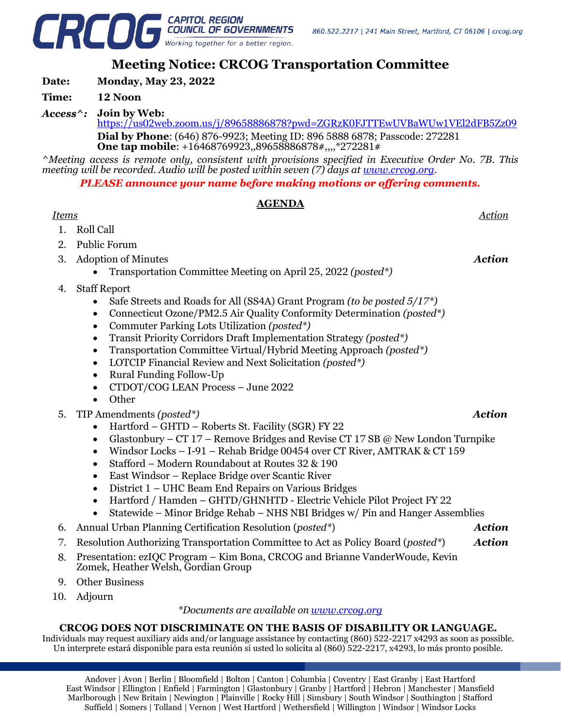

# **Meeting Notice: CRCOG Transportation Committee**

**Date: Monday, May 23, 2022**

### **Time: 12 Noon**

*Access^:* **Join by Web:** 

<https://us02web.zoom.us/j/89658886878?pwd=ZGRzK0FJTTEwUVBaWUw1VEl2dFB5Zz09> **Dial by Phone**: (646) 876-9923; Meeting ID: 896 5888 6878; Passcode: 272281 **One tap mobile**: +16468769923,,89658886878#,,,,\*272281#

*^Meeting access is remote only, consistent with provisions specified in Executive Order No. 7B. This meeting will be recorded. Audio will be posted within seven (7) days at [www.crcog.org.](http://www.crcog.org/)*

*PLEASE announce your name before making motions or offering comments.*

## **AGENDA**

### *Items Action*

- 1. Roll Call
- 2. Public Forum
- 3. Adoption of Minutes
	- Transportation Committee Meeting on April 25, 2022 *(posted\*)*
- 4. Staff Report
	- Safe Streets and Roads for All (SS4A) Grant Program *(to be posted 5/17\*)*
	- Connecticut Ozone/PM2.5 Air Quality Conformity Determination *(posted\*)*
	- Commuter Parking Lots Utilization *(posted\*)*
	- Transit Priority Corridors Draft Implementation Strategy *(posted\*)*
	- Transportation Committee Virtual/Hybrid Meeting Approach *(posted\*)*
	- LOTCIP Financial Review and Next Solicitation *(posted\*)*
	- Rural Funding Follow-Up
	- CTDOT/COG LEAN Process June 2022
	- Other
- 5. TIP Amendments *(posted\*) Action*
	- Hartford GHTD Roberts St. Facility (SGR) FY 22
	- Glastonbury CT 17 Remove Bridges and Revise CT 17 SB @ New London Turnpike
	- Windsor Locks I-91 Rehab Bridge 00454 over CT River, AMTRAK & CT 159
	- Stafford Modern Roundabout at Routes 32 & 190
	- East Windsor Replace Bridge over Scantic River
	- District 1 UHC Beam End Repairs on Various Bridges
	- Hartford / Hamden GHTD/GHNHTD Electric Vehicle Pilot Project FY 22
	- Statewide Minor Bridge Rehab NHS NBI Bridges w/ Pin and Hanger Assemblies
- 6. Annual Urban Planning Certification Resolution (*posted\**) *Action*
- 7. Resolution Authorizing Transportation Committee to Act as Policy Board (*posted\**) *Action*
- 8. Presentation: ezIQC Program Kim Bona, CRCOG and Brianne VanderWoude, Kevin Zomek, Heather Welsh, Gordian Group
- 9. Other Business
- 10. Adjourn

#### *\*Documents are available on [www.crcog.org](http://www.crcog.org/)*

### **CRCOG DOES NOT DISCRIMINATE ON THE BASIS OF DISABILITY OR LANGUAGE.**

Individuals may request auxiliary aids and/or language assistance by contacting (860) 522-2217 x4293 as soon as possible. Un interprete estará disponible para esta reunión si usted lo solicita al (860) 522-2217, x4293, lo más pronto posible.

Andover | Avon | Berlin | Bloomfield | Bolton | Canton | Columbia | Coventry | East Granby | East Hartford East Windsor | Ellington | Enfield | Farmington | Glastonbury | Granby | Hartford | Hebron | Manchester | Mansfield Marlborough | New Britain | Newington | Plainville | Rocky Hill | Simsbury | South Windsor | Southington | Stafford Suffield | Somers | Tolland | Vernon | West Hartford | Wethersfield | Willington | Windsor | Windsor Locks

*Action*